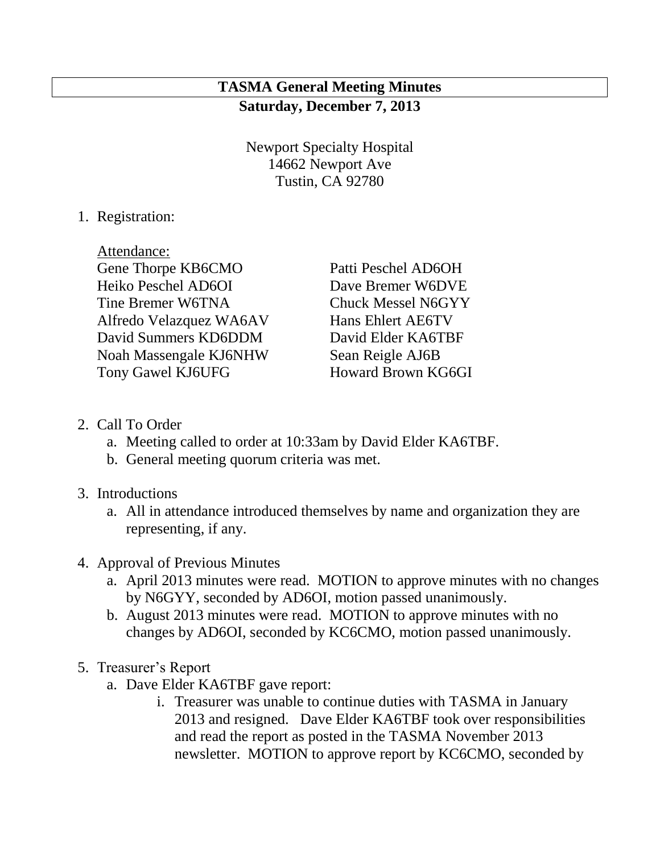# **TASMA General Meeting Minutes Saturday, December 7, 2013**

Newport Specialty Hospital 14662 Newport Ave Tustin, CA 92780

1. Registration:

Attendance: Gene Thorpe KB6CMO Patti Peschel AD6OH Heiko Peschel AD6OI Dave Bremer W6DVE Tine Bremer W6TNA Chuck Messel N6GYY Alfredo Velazquez WA6AV Hans Ehlert AE6TV David Summers KD6DDM David Elder KA6TBF Noah Massengale KJ6NHW Sean Reigle AJ6B Tony Gawel KJ6UFG Howard Brown KG6GI

- 2. Call To Order
	- a. Meeting called to order at 10:33am by David Elder KA6TBF.
	- b. General meeting quorum criteria was met.
- 3. Introductions
	- a. All in attendance introduced themselves by name and organization they are representing, if any.
- 4. Approval of Previous Minutes
	- a. April 2013 minutes were read. MOTION to approve minutes with no changes by N6GYY, seconded by AD6OI, motion passed unanimously.
	- b. August 2013 minutes were read. MOTION to approve minutes with no changes by AD6OI, seconded by KC6CMO, motion passed unanimously.
- 5. Treasurer's Report
	- a. Dave Elder KA6TBF gave report:
		- i. Treasurer was unable to continue duties with TASMA in January 2013 and resigned. Dave Elder KA6TBF took over responsibilities and read the report as posted in the TASMA November 2013 newsletter. MOTION to approve report by KC6CMO, seconded by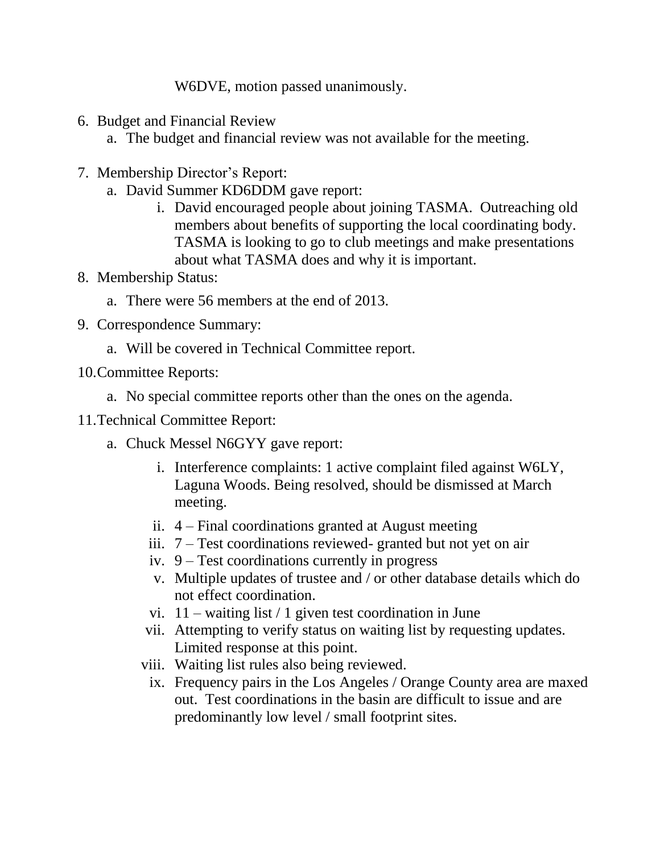W6DVE, motion passed unanimously.

- 6. Budget and Financial Review
	- a. The budget and financial review was not available for the meeting.
- 7. Membership Director's Report:
	- a. David Summer KD6DDM gave report:
		- i. David encouraged people about joining TASMA. Outreaching old members about benefits of supporting the local coordinating body. TASMA is looking to go to club meetings and make presentations about what TASMA does and why it is important.
- 8. Membership Status:
	- a. There were 56 members at the end of 2013.
- 9. Correspondence Summary:
	- a. Will be covered in Technical Committee report.
- 10.Committee Reports:
	- a. No special committee reports other than the ones on the agenda.
- 11.Technical Committee Report:
	- a. Chuck Messel N6GYY gave report:
		- i. Interference complaints: 1 active complaint filed against W6LY, Laguna Woods. Being resolved, should be dismissed at March meeting.
		- ii. 4 Final coordinations granted at August meeting
		- iii. 7 Test coordinations reviewed- granted but not yet on air
		- iv. 9 Test coordinations currently in progress
		- v. Multiple updates of trustee and / or other database details which do not effect coordination.
		- vi.  $11 -$  waiting list / 1 given test coordination in June
		- vii. Attempting to verify status on waiting list by requesting updates. Limited response at this point.
		- viii. Waiting list rules also being reviewed.
			- ix. Frequency pairs in the Los Angeles / Orange County area are maxed out. Test coordinations in the basin are difficult to issue and are predominantly low level / small footprint sites.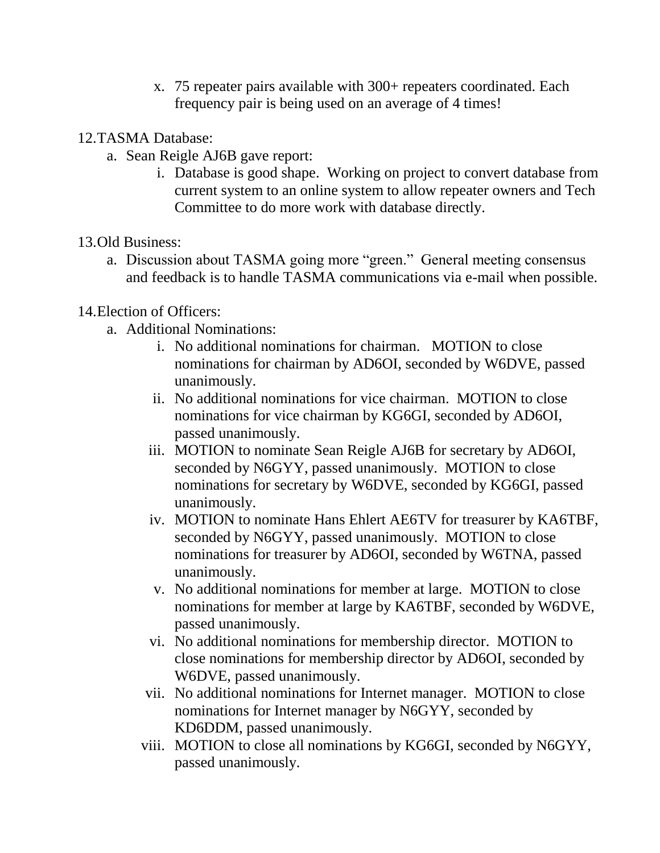- x. 75 repeater pairs available with 300+ repeaters coordinated. Each frequency pair is being used on an average of 4 times!
- 12.TASMA Database:
	- a. Sean Reigle AJ6B gave report:
		- i. Database is good shape. Working on project to convert database from current system to an online system to allow repeater owners and Tech Committee to do more work with database directly.
- 13.Old Business:
	- a. Discussion about TASMA going more "green." General meeting consensus and feedback is to handle TASMA communications via e-mail when possible.

## 14.Election of Officers:

- a. Additional Nominations:
	- i. No additional nominations for chairman. MOTION to close nominations for chairman by AD6OI, seconded by W6DVE, passed unanimously.
	- ii. No additional nominations for vice chairman. MOTION to close nominations for vice chairman by KG6GI, seconded by AD6OI, passed unanimously.
	- iii. MOTION to nominate Sean Reigle AJ6B for secretary by AD6OI, seconded by N6GYY, passed unanimously. MOTION to close nominations for secretary by W6DVE, seconded by KG6GI, passed unanimously.
	- iv. MOTION to nominate Hans Ehlert AE6TV for treasurer by KA6TBF, seconded by N6GYY, passed unanimously. MOTION to close nominations for treasurer by AD6OI, seconded by W6TNA, passed unanimously.
	- v. No additional nominations for member at large. MOTION to close nominations for member at large by KA6TBF, seconded by W6DVE, passed unanimously.
	- vi. No additional nominations for membership director. MOTION to close nominations for membership director by AD6OI, seconded by W6DVE, passed unanimously.
	- vii. No additional nominations for Internet manager. MOTION to close nominations for Internet manager by N6GYY, seconded by KD6DDM, passed unanimously.
	- viii. MOTION to close all nominations by KG6GI, seconded by N6GYY, passed unanimously.